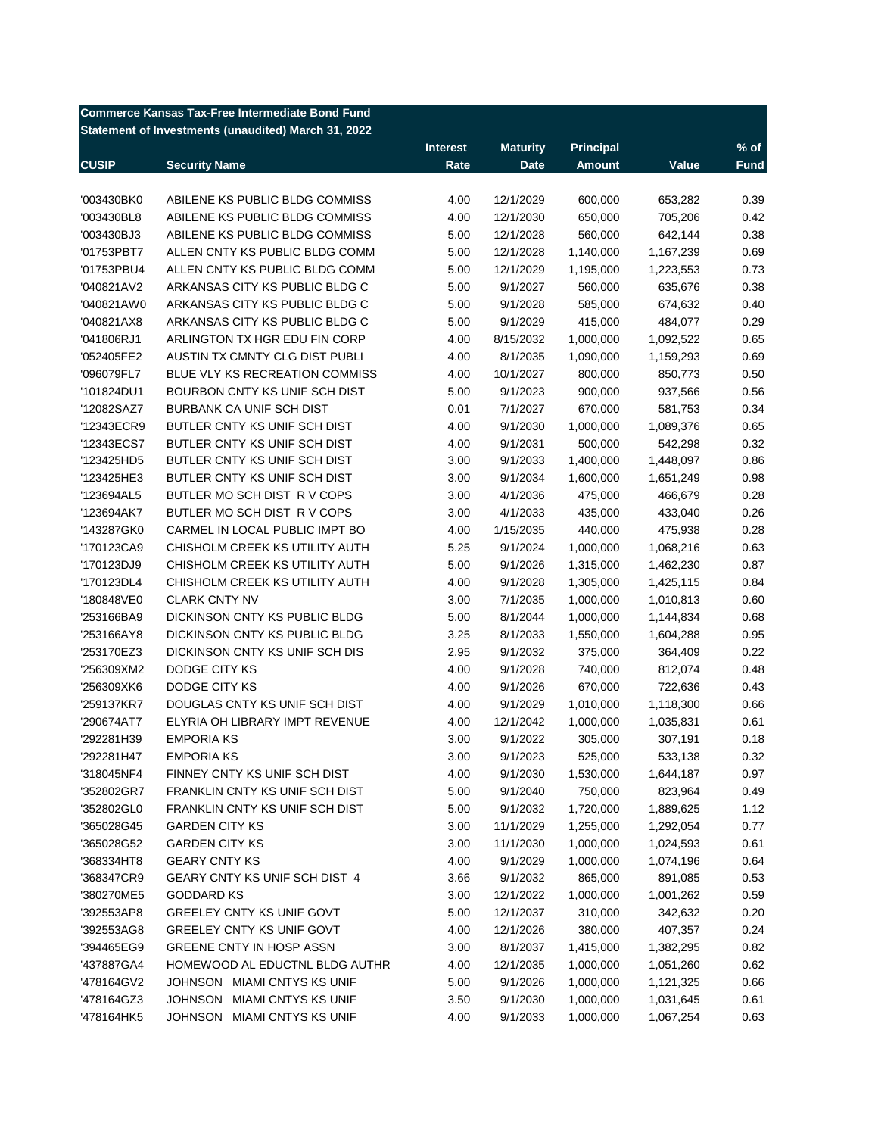| Commerce Kansas Tax-Free Intermediate Bond Fund     |  |
|-----------------------------------------------------|--|
| Statement of Investments (unaudited) March 31, 2022 |  |

|              |                                  | <b>Interest</b> | <b>Maturity</b> | <b>Principal</b> |           | $%$ of      |
|--------------|----------------------------------|-----------------|-----------------|------------------|-----------|-------------|
| <b>CUSIP</b> | <b>Security Name</b>             | Rate            | <b>Date</b>     | <b>Amount</b>    | Value     | <b>Fund</b> |
|              |                                  |                 |                 |                  |           |             |
| '003430BK0   | ABILENE KS PUBLIC BLDG COMMISS   | 4.00            | 12/1/2029       | 600,000          | 653,282   | 0.39        |
| '003430BL8   | ABILENE KS PUBLIC BLDG COMMISS   | 4.00            | 12/1/2030       | 650,000          | 705,206   | 0.42        |
| '003430BJ3   | ABILENE KS PUBLIC BLDG COMMISS   | 5.00            | 12/1/2028       | 560,000          | 642,144   | 0.38        |
| '01753PBT7   | ALLEN CNTY KS PUBLIC BLDG COMM   | 5.00            | 12/1/2028       | 1,140,000        | 1,167,239 | 0.69        |
| '01753PBU4   | ALLEN CNTY KS PUBLIC BLDG COMM   | 5.00            | 12/1/2029       | 1,195,000        | 1,223,553 | 0.73        |
| '040821AV2   | ARKANSAS CITY KS PUBLIC BLDG C   | 5.00            | 9/1/2027        | 560,000          | 635,676   | 0.38        |
| '040821AW0   | ARKANSAS CITY KS PUBLIC BLDG C   | 5.00            | 9/1/2028        | 585,000          | 674,632   | 0.40        |
| '040821AX8   | ARKANSAS CITY KS PUBLIC BLDG C   | 5.00            | 9/1/2029        | 415,000          | 484,077   | 0.29        |
| '041806RJ1   | ARLINGTON TX HGR EDU FIN CORP    | 4.00            | 8/15/2032       | 1,000,000        | 1,092,522 | 0.65        |
| '052405FE2   | AUSTIN TX CMNTY CLG DIST PUBLI   | 4.00            | 8/1/2035        | 1,090,000        | 1,159,293 | 0.69        |
| '096079FL7   | BLUE VLY KS RECREATION COMMISS   | 4.00            | 10/1/2027       | 800,000          | 850,773   | 0.50        |
| '101824DU1   | BOURBON CNTY KS UNIF SCH DIST    | 5.00            | 9/1/2023        | 900,000          | 937,566   | 0.56        |
| '12082SAZ7   | <b>BURBANK CA UNIF SCH DIST</b>  | 0.01            | 7/1/2027        | 670,000          | 581,753   | 0.34        |
| '12343ECR9   | BUTLER CNTY KS UNIF SCH DIST     | 4.00            | 9/1/2030        | 1,000,000        | 1,089,376 | 0.65        |
| '12343ECS7   | BUTLER CNTY KS UNIF SCH DIST     | 4.00            | 9/1/2031        | 500,000          | 542,298   | 0.32        |
| '123425HD5   | BUTLER CNTY KS UNIF SCH DIST     | 3.00            | 9/1/2033        | 1,400,000        | 1,448,097 | 0.86        |
| '123425HE3   | BUTLER CNTY KS UNIF SCH DIST     | 3.00            | 9/1/2034        | 1,600,000        | 1,651,249 | 0.98        |
| '123694AL5   | BUTLER MO SCH DIST R V COPS      | 3.00            | 4/1/2036        | 475,000          | 466,679   | 0.28        |
| '123694AK7   | BUTLER MO SCH DIST R V COPS      | 3.00            | 4/1/2033        | 435,000          | 433,040   | 0.26        |
| '143287GK0   | CARMEL IN LOCAL PUBLIC IMPT BO   | 4.00            | 1/15/2035       | 440,000          | 475,938   | 0.28        |
| '170123CA9   | CHISHOLM CREEK KS UTILITY AUTH   | 5.25            | 9/1/2024        | 1,000,000        | 1,068,216 | 0.63        |
| '170123DJ9   | CHISHOLM CREEK KS UTILITY AUTH   | 5.00            | 9/1/2026        | 1,315,000        | 1,462,230 | 0.87        |
| '170123DL4   | CHISHOLM CREEK KS UTILITY AUTH   | 4.00            | 9/1/2028        | 1,305,000        | 1,425,115 | 0.84        |
| '180848VE0   | <b>CLARK CNTY NV</b>             | 3.00            | 7/1/2035        | 1,000,000        | 1,010,813 | 0.60        |
| '253166BA9   | DICKINSON CNTY KS PUBLIC BLDG    | 5.00            | 8/1/2044        | 1,000,000        | 1,144,834 | 0.68        |
| '253166AY8   | DICKINSON CNTY KS PUBLIC BLDG    | 3.25            | 8/1/2033        | 1,550,000        | 1,604,288 | 0.95        |
| '253170EZ3   | DICKINSON CNTY KS UNIF SCH DIS   | 2.95            | 9/1/2032        | 375,000          | 364,409   | 0.22        |
| '256309XM2   | DODGE CITY KS                    | 4.00            | 9/1/2028        | 740,000          | 812,074   | 0.48        |
|              | DODGE CITY KS                    |                 |                 |                  |           | 0.43        |
| '256309XK6   |                                  | 4.00            | 9/1/2026        | 670,000          | 722,636   |             |
| '259137KR7   | DOUGLAS CNTY KS UNIF SCH DIST    | 4.00            | 9/1/2029        | 1,010,000        | 1,118,300 | 0.66        |
| '290674AT7   | ELYRIA OH LIBRARY IMPT REVENUE   | 4.00            | 12/1/2042       | 1,000,000        | 1,035,831 | 0.61        |
| '292281H39   | <b>EMPORIA KS</b>                | 3.00            | 9/1/2022        | 305,000          | 307,191   | 0.18        |
| '292281H47   | <b>EMPORIA KS</b>                | 3.00            | 9/1/2023        | 525,000          | 533,138   | 0.32        |
| '318045NF4   | FINNEY CNTY KS UNIF SCH DIST     | 4.00            | 9/1/2030        | 1,530,000        | 1,644,187 | 0.97        |
| '352802GR7   | FRANKLIN CNTY KS UNIF SCH DIST   | 5.00            | 9/1/2040        | 750,000          | 823,964   | 0.49        |
| '352802GL0   | FRANKLIN CNTY KS UNIF SCH DIST   | 5.00            | 9/1/2032        | 1,720,000        | 1,889,625 | 1.12        |
| '365028G45   | <b>GARDEN CITY KS</b>            | 3.00            | 11/1/2029       | 1,255,000        | 1,292,054 | 0.77        |
| '365028G52   | <b>GARDEN CITY KS</b>            | 3.00            | 11/1/2030       | 1,000,000        | 1,024,593 | 0.61        |
| '368334HT8   | <b>GEARY CNTY KS</b>             | 4.00            | 9/1/2029        | 1,000,000        | 1,074,196 | 0.64        |
| '368347CR9   | GEARY CNTY KS UNIF SCH DIST 4    | 3.66            | 9/1/2032        | 865,000          | 891,085   | 0.53        |
| '380270ME5   | <b>GODDARD KS</b>                | 3.00            | 12/1/2022       | 1,000,000        | 1,001,262 | 0.59        |
| '392553AP8   | <b>GREELEY CNTY KS UNIF GOVT</b> | 5.00            | 12/1/2037       | 310,000          | 342,632   | 0.20        |
| '392553AG8   | GREELEY CNTY KS UNIF GOVT        | 4.00            | 12/1/2026       | 380,000          | 407,357   | 0.24        |
| '394465EG9   | GREENE CNTY IN HOSP ASSN         | 3.00            | 8/1/2037        | 1,415,000        | 1,382,295 | 0.82        |
| '437887GA4   | HOMEWOOD AL EDUCTNL BLDG AUTHR   | 4.00            | 12/1/2035       | 1,000,000        | 1,051,260 | 0.62        |
| '478164GV2   | JOHNSON MIAMI CNTYS KS UNIF      | 5.00            | 9/1/2026        | 1,000,000        | 1,121,325 | 0.66        |
| '478164GZ3   | JOHNSON MIAMI CNTYS KS UNIF      | 3.50            | 9/1/2030        | 1,000,000        | 1,031,645 | 0.61        |
| '478164HK5   | JOHNSON MIAMI CNTYS KS UNIF      | 4.00            | 9/1/2033        | 1,000,000        | 1,067,254 | 0.63        |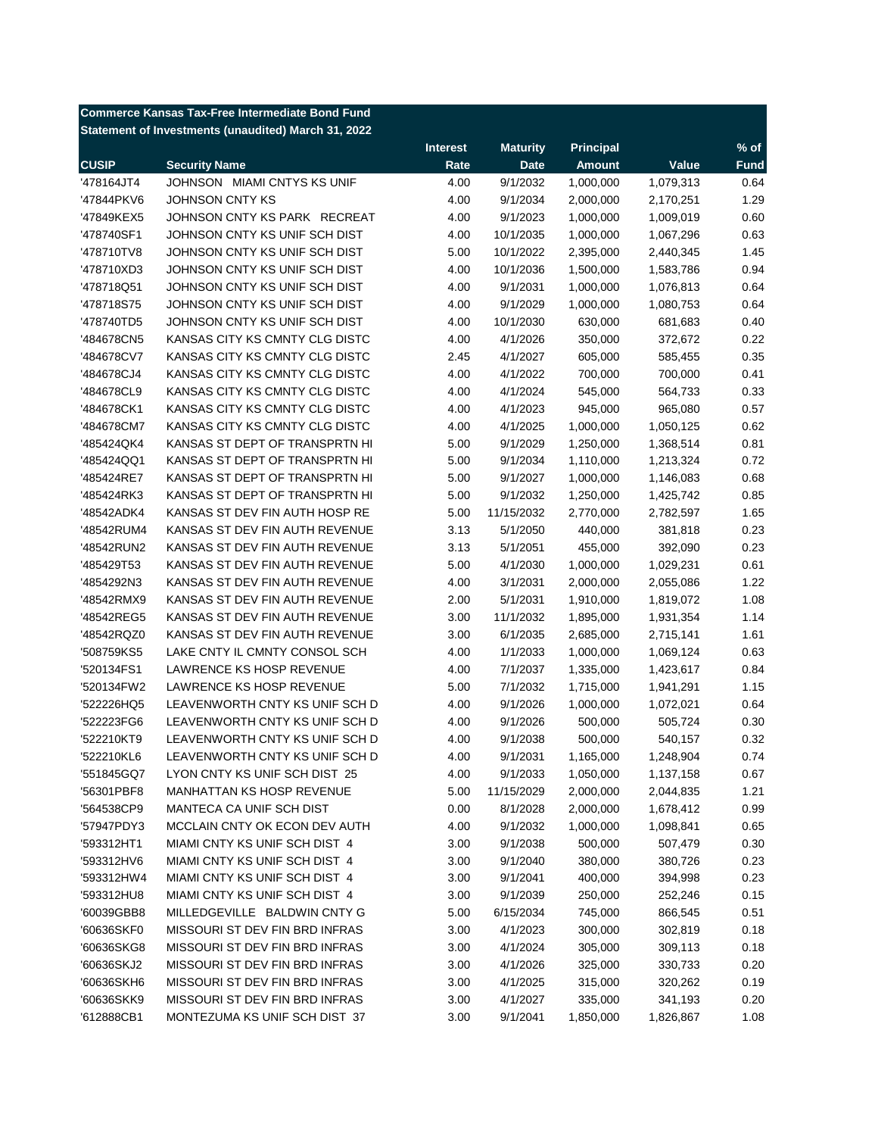| <b>Commerce Kansas Tax-Free Intermediate Bond Fund</b> |                                  |                 |                      |                        |           |              |  |
|--------------------------------------------------------|----------------------------------|-----------------|----------------------|------------------------|-----------|--------------|--|
| Statement of Investments (unaudited) March 31, 2022    |                                  |                 |                      |                        |           |              |  |
|                                                        |                                  | <b>Interest</b> | <b>Maturity</b>      | <b>Principal</b>       |           | $%$ of       |  |
| <b>CUSIP</b>                                           | <b>Security Name</b>             | Rate            | <b>Date</b>          | <b>Amount</b>          | Value     | <b>Fund</b>  |  |
| '478164JT4                                             | JOHNSON MIAMI CNTYS KS UNIF      | 4.00            | 9/1/2032             | 1,000,000              | 1,079,313 | 0.64         |  |
| '47844PKV6                                             | <b>JOHNSON CNTY KS</b>           | 4.00            | 9/1/2034             | 2,000,000              | 2,170,251 | 1.29         |  |
| '47849KEX5                                             | JOHNSON CNTY KS PARK RECREAT     | 4.00            | 9/1/2023             | 1,000,000              | 1,009,019 | 0.60         |  |
| '478740SF1                                             | JOHNSON CNTY KS UNIF SCH DIST    | 4.00            | 10/1/2035            | 1,000,000              | 1,067,296 | 0.63         |  |
| '478710TV8                                             | JOHNSON CNTY KS UNIF SCH DIST    | 5.00            | 10/1/2022            | 2,395,000              | 2,440,345 | 1.45         |  |
| '478710XD3                                             | JOHNSON CNTY KS UNIF SCH DIST    | 4.00            | 10/1/2036            | 1,500,000              | 1,583,786 | 0.94         |  |
| '478718Q51                                             | JOHNSON CNTY KS UNIF SCH DIST    | 4.00            | 9/1/2031             | 1,000,000              | 1,076,813 | 0.64         |  |
| '478718S75                                             | JOHNSON CNTY KS UNIF SCH DIST    | 4.00            | 9/1/2029             | 1,000,000              | 1,080,753 | 0.64         |  |
| '478740TD5                                             | JOHNSON CNTY KS UNIF SCH DIST    | 4.00            | 10/1/2030            | 630,000                | 681,683   | 0.40         |  |
| '484678CN5                                             | KANSAS CITY KS CMNTY CLG DISTC   | 4.00            | 4/1/2026             | 350,000                | 372,672   | 0.22         |  |
| '484678CV7                                             | KANSAS CITY KS CMNTY CLG DISTC   | 2.45            | 4/1/2027             | 605,000                | 585,455   | 0.35         |  |
| '484678CJ4                                             | KANSAS CITY KS CMNTY CLG DISTC   | 4.00            | 4/1/2022             | 700,000                | 700,000   | 0.41         |  |
| '484678CL9                                             | KANSAS CITY KS CMNTY CLG DISTC   | 4.00            | 4/1/2024             | 545,000                | 564,733   | 0.33         |  |
| '484678CK1                                             | KANSAS CITY KS CMNTY CLG DISTC   | 4.00            | 4/1/2023             | 945,000                | 965,080   | 0.57         |  |
| '484678CM7                                             | KANSAS CITY KS CMNTY CLG DISTC   | 4.00            | 4/1/2025             | 1,000,000              | 1,050,125 | 0.62         |  |
| '485424QK4                                             | KANSAS ST DEPT OF TRANSPRTN HI   | 5.00            | 9/1/2029             | 1,250,000              | 1,368,514 | 0.81         |  |
| '485424QQ1                                             | KANSAS ST DEPT OF TRANSPRTN HI   | 5.00            | 9/1/2034             | 1,110,000              | 1,213,324 | 0.72         |  |
| '485424RE7                                             | KANSAS ST DEPT OF TRANSPRTN HI   | 5.00            | 9/1/2027             | 1,000,000              | 1,146,083 | 0.68         |  |
| '485424RK3                                             | KANSAS ST DEPT OF TRANSPRTN HI   | 5.00            | 9/1/2032             | 1,250,000              | 1,425,742 | 0.85         |  |
| '48542ADK4                                             | KANSAS ST DEV FIN AUTH HOSP RE   | 5.00            | 11/15/2032           | 2,770,000              | 2,782,597 | 1.65         |  |
| '48542RUM4                                             | KANSAS ST DEV FIN AUTH REVENUE   | 3.13            | 5/1/2050             | 440,000                | 381,818   | 0.23         |  |
| '48542RUN2                                             | KANSAS ST DEV FIN AUTH REVENUE   | 3.13            | 5/1/2051             | 455,000                | 392,090   | 0.23         |  |
| '485429T53                                             | KANSAS ST DEV FIN AUTH REVENUE   | 5.00            | 4/1/2030             | 1,000,000              | 1,029,231 | 0.61         |  |
| '4854292N3                                             | KANSAS ST DEV FIN AUTH REVENUE   | 4.00            | 3/1/2031             | 2,000,000              | 2,055,086 | 1.22         |  |
| '48542RMX9                                             | KANSAS ST DEV FIN AUTH REVENUE   | 2.00            | 5/1/2031             | 1,910,000              | 1,819,072 | 1.08         |  |
| '48542REG5                                             | KANSAS ST DEV FIN AUTH REVENUE   | 3.00            | 11/1/2032            | 1,895,000              | 1,931,354 | 1.14         |  |
| '48542RQZ0                                             | KANSAS ST DEV FIN AUTH REVENUE   | 3.00            | 6/1/2035             | 2,685,000              | 2,715,141 | 1.61         |  |
| '508759KS5                                             | LAKE CNTY IL CMNTY CONSOL SCH    | 4.00            | 1/1/2033             | 1,000,000              | 1,069,124 | 0.63         |  |
|                                                        | LAWRENCE KS HOSP REVENUE         |                 |                      |                        |           |              |  |
| '520134FS1                                             | LAWRENCE KS HOSP REVENUE         | 4.00            | 7/1/2037<br>7/1/2032 | 1,335,000<br>1,715,000 | 1,423,617 | 0.84<br>1.15 |  |
| '520134FW2                                             | LEAVENWORTH CNTY KS UNIF SCH D   | 5.00            |                      |                        | 1,941,291 |              |  |
| '522226HQ5                                             |                                  | 4.00            | 9/1/2026             | 1,000,000              | 1,072,021 | 0.64         |  |
| '522223FG6                                             | LEAVENWORTH CNTY KS UNIF SCH D   | 4.00            | 9/1/2026             | 500,000                | 505,724   | 0.30         |  |
| '522210KT9                                             | LEAVENWORTH CNTY KS UNIF SCH D   | 4.00            | 9/1/2038             | 500,000                | 540,157   | 0.32         |  |
| '522210KL6                                             | LEAVENWORTH CNTY KS UNIF SCH D   | 4.00            | 9/1/2031             | 1,165,000              | 1,248,904 | 0.74         |  |
| '551845GQ7                                             | LYON CNTY KS UNIF SCH DIST 25    | 4.00            | 9/1/2033             | 1,050,000              | 1,137,158 | 0.67         |  |
| '56301PBF8                                             | <b>MANHATTAN KS HOSP REVENUE</b> | 5.00            | 11/15/2029           | 2,000,000              | 2,044,835 | 1.21         |  |
| '564538CP9                                             | MANTECA CA UNIF SCH DIST         | 0.00            | 8/1/2028             | 2,000,000              | 1,678,412 | 0.99         |  |
| '57947PDY3                                             | MCCLAIN CNTY OK ECON DEV AUTH    | 4.00            | 9/1/2032             | 1,000,000              | 1,098,841 | 0.65         |  |
| '593312HT1                                             | MIAMI CNTY KS UNIF SCH DIST 4    | 3.00            | 9/1/2038             | 500,000                | 507,479   | 0.30         |  |
| '593312HV6                                             | MIAMI CNTY KS UNIF SCH DIST 4    | 3.00            | 9/1/2040             | 380,000                | 380,726   | 0.23         |  |
| '593312HW4                                             | MIAMI CNTY KS UNIF SCH DIST 4    | 3.00            | 9/1/2041             | 400,000                | 394,998   | 0.23         |  |
| '593312HU8                                             | MIAMI CNTY KS UNIF SCH DIST 4    | 3.00            | 9/1/2039             | 250,000                | 252,246   | 0.15         |  |
| '60039GBB8                                             | MILLEDGEVILLE BALDWIN CNTY G     | 5.00            | 6/15/2034            | 745,000                | 866,545   | 0.51         |  |
| '60636SKF0                                             | MISSOURI ST DEV FIN BRD INFRAS   | 3.00            | 4/1/2023             | 300,000                | 302,819   | 0.18         |  |
| '60636SKG8                                             | MISSOURI ST DEV FIN BRD INFRAS   | 3.00            | 4/1/2024             | 305,000                | 309,113   | 0.18         |  |
| '60636SKJ2                                             | MISSOURI ST DEV FIN BRD INFRAS   | 3.00            | 4/1/2026             | 325,000                | 330,733   | 0.20         |  |
| '60636SKH6                                             | MISSOURI ST DEV FIN BRD INFRAS   | 3.00            | 4/1/2025             | 315,000                | 320,262   | 0.19         |  |
| '60636SKK9                                             | MISSOURI ST DEV FIN BRD INFRAS   | 3.00            | 4/1/2027             | 335,000                | 341,193   | 0.20         |  |
| '612888CB1                                             | MONTEZUMA KS UNIF SCH DIST 37    | 3.00            | 9/1/2041             | 1,850,000              | 1,826,867 | 1.08         |  |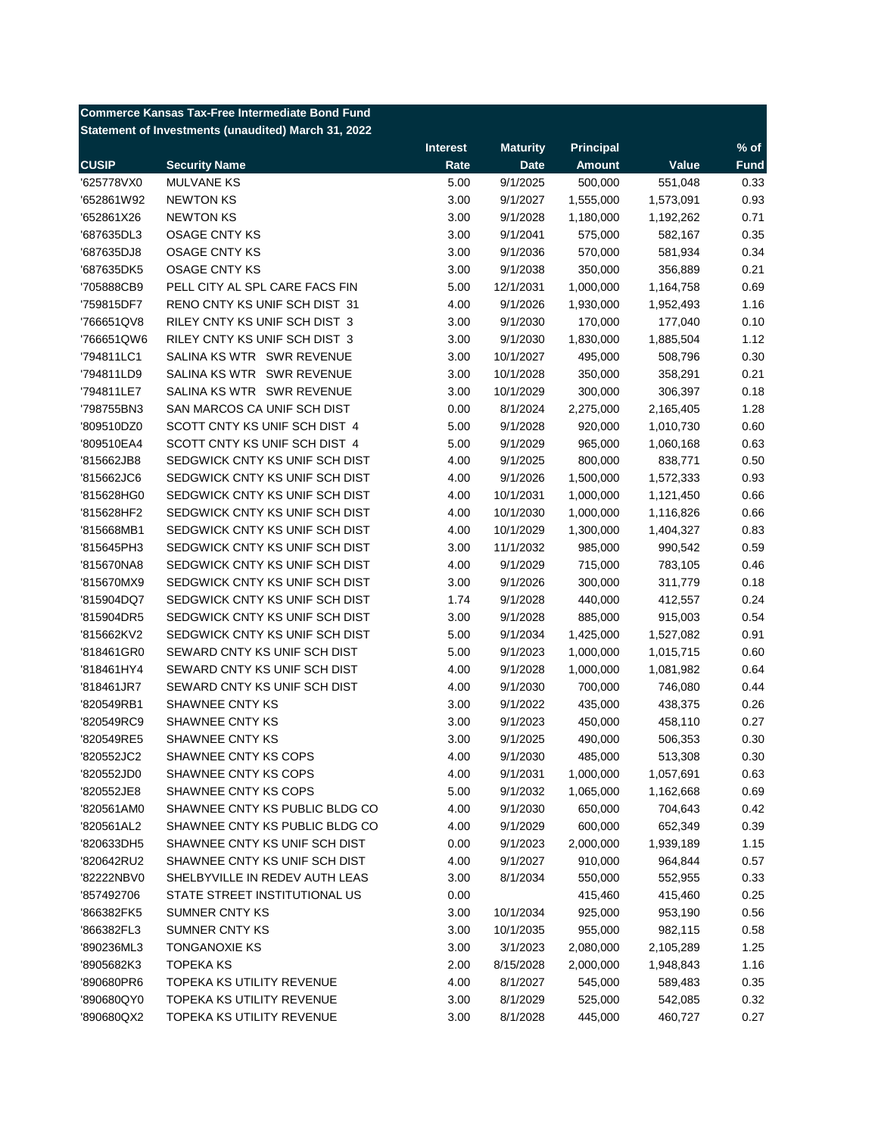| <b>Commerce Kansas Tax-Free Intermediate Bond Fund</b> |                                |                 |                 |                  |           |             |  |  |
|--------------------------------------------------------|--------------------------------|-----------------|-----------------|------------------|-----------|-------------|--|--|
| Statement of Investments (unaudited) March 31, 2022    |                                |                 |                 |                  |           |             |  |  |
|                                                        |                                | <b>Interest</b> | <b>Maturity</b> | <b>Principal</b> |           | $%$ of      |  |  |
| <b>CUSIP</b>                                           | <b>Security Name</b>           | Rate            | <b>Date</b>     | <b>Amount</b>    | Value     | <b>Fund</b> |  |  |
| '625778VX0                                             | <b>MULVANE KS</b>              | 5.00            | 9/1/2025        | 500,000          | 551,048   | 0.33        |  |  |
| '652861W92                                             | <b>NEWTON KS</b>               | 3.00            | 9/1/2027        | 1,555,000        | 1,573,091 | 0.93        |  |  |
| '652861X26                                             | <b>NEWTON KS</b>               | 3.00            | 9/1/2028        | 1,180,000        | 1,192,262 | 0.71        |  |  |
| '687635DL3                                             | <b>OSAGE CNTY KS</b>           | 3.00            | 9/1/2041        | 575,000          | 582,167   | 0.35        |  |  |
| '687635DJ8                                             | <b>OSAGE CNTY KS</b>           | 3.00            | 9/1/2036        | 570,000          | 581,934   | 0.34        |  |  |
| '687635DK5                                             | <b>OSAGE CNTY KS</b>           | 3.00            | 9/1/2038        | 350,000          | 356,889   | 0.21        |  |  |
| '705888CB9                                             | PELL CITY AL SPL CARE FACS FIN | 5.00            | 12/1/2031       | 1,000,000        | 1,164,758 | 0.69        |  |  |
| '759815DF7                                             | RENO CNTY KS UNIF SCH DIST 31  | 4.00            | 9/1/2026        | 1,930,000        | 1,952,493 | 1.16        |  |  |
| '766651QV8                                             | RILEY CNTY KS UNIF SCH DIST 3  | 3.00            | 9/1/2030        | 170,000          | 177,040   | 0.10        |  |  |
| '766651QW6                                             | RILEY CNTY KS UNIF SCH DIST 3  | 3.00            | 9/1/2030        | 1,830,000        | 1,885,504 | 1.12        |  |  |
| '794811LC1                                             | SALINA KS WTR SWR REVENUE      | 3.00            | 10/1/2027       | 495,000          | 508,796   | 0.30        |  |  |
| '794811LD9                                             | SALINA KS WTR SWR REVENUE      | 3.00            | 10/1/2028       | 350,000          | 358,291   | 0.21        |  |  |
| '794811LE7                                             | SALINA KS WTR SWR REVENUE      | 3.00            | 10/1/2029       | 300,000          | 306,397   | 0.18        |  |  |
| '798755BN3                                             | SAN MARCOS CA UNIF SCH DIST    | 0.00            | 8/1/2024        | 2,275,000        | 2,165,405 | 1.28        |  |  |
| '809510DZ0                                             | SCOTT CNTY KS UNIF SCH DIST 4  | 5.00            | 9/1/2028        | 920,000          | 1,010,730 | 0.60        |  |  |
| '809510EA4                                             | SCOTT CNTY KS UNIF SCH DIST 4  | 5.00            | 9/1/2029        | 965,000          | 1,060,168 | 0.63        |  |  |
| '815662JB8                                             | SEDGWICK CNTY KS UNIF SCH DIST | 4.00            | 9/1/2025        | 800,000          | 838,771   | 0.50        |  |  |
| '815662JC6                                             | SEDGWICK CNTY KS UNIF SCH DIST | 4.00            | 9/1/2026        | 1,500,000        | 1,572,333 | 0.93        |  |  |
| '815628HG0                                             | SEDGWICK CNTY KS UNIF SCH DIST | 4.00            | 10/1/2031       | 1,000,000        | 1,121,450 | 0.66        |  |  |
| '815628HF2                                             | SEDGWICK CNTY KS UNIF SCH DIST | 4.00            | 10/1/2030       | 1,000,000        | 1,116,826 | 0.66        |  |  |
| '815668MB1                                             | SEDGWICK CNTY KS UNIF SCH DIST | 4.00            | 10/1/2029       | 1,300,000        | 1,404,327 | 0.83        |  |  |
| '815645PH3                                             | SEDGWICK CNTY KS UNIF SCH DIST | 3.00            | 11/1/2032       | 985,000          | 990,542   | 0.59        |  |  |
| '815670NA8                                             | SEDGWICK CNTY KS UNIF SCH DIST | 4.00            | 9/1/2029        | 715,000          | 783,105   | 0.46        |  |  |
| '815670MX9                                             | SEDGWICK CNTY KS UNIF SCH DIST | 3.00            | 9/1/2026        | 300,000          | 311,779   | 0.18        |  |  |
| '815904DQ7                                             | SEDGWICK CNTY KS UNIF SCH DIST | 1.74            | 9/1/2028        | 440,000          | 412,557   | 0.24        |  |  |
| '815904DR5                                             | SEDGWICK CNTY KS UNIF SCH DIST | 3.00            | 9/1/2028        | 885,000          | 915,003   | 0.54        |  |  |
| '815662KV2                                             | SEDGWICK CNTY KS UNIF SCH DIST | 5.00            | 9/1/2034        | 1,425,000        |           | 0.91        |  |  |
| '818461GR0                                             | SEWARD CNTY KS UNIF SCH DIST   | 5.00            |                 | 1,000,000        | 1,527,082 | 0.60        |  |  |
|                                                        | SEWARD CNTY KS UNIF SCH DIST   | 4.00            | 9/1/2023        | 1,000,000        | 1,015,715 | 0.64        |  |  |
| '818461HY4                                             | SEWARD CNTY KS UNIF SCH DIST   |                 | 9/1/2028        |                  | 1,081,982 | 0.44        |  |  |
| '818461JR7                                             |                                | 4.00            | 9/1/2030        | 700,000          | 746,080   |             |  |  |
| '820549RB1                                             | SHAWNEE CNTY KS                | 3.00            | 9/1/2022        | 435,000          | 438,375   | 0.26        |  |  |
| '820549RC9                                             | SHAWNEE CNTY KS                | 3.00            | 9/1/2023        | 450,000          | 458,110   | 0.27        |  |  |
| '820549RE5                                             | SHAWNEE CNTY KS                | 3.00            | 9/1/2025        | 490,000          | 506,353   | 0.30        |  |  |
| '820552JC2                                             | SHAWNEE CNTY KS COPS           | 4.00            | 9/1/2030        | 485,000          | 513,308   | 0.30        |  |  |
| '820552JD0                                             | SHAWNEE CNTY KS COPS           | 4.00            | 9/1/2031        | 1,000,000        | 1,057,691 | 0.63        |  |  |
| '820552JE8                                             | SHAWNEE CNTY KS COPS           | 5.00            | 9/1/2032        | 1,065,000        | 1,162,668 | 0.69        |  |  |
| '820561AM0                                             | SHAWNEE CNTY KS PUBLIC BLDG CO | 4.00            | 9/1/2030        | 650,000          | 704,643   | 0.42        |  |  |
| '820561AL2                                             | SHAWNEE CNTY KS PUBLIC BLDG CO | 4.00            | 9/1/2029        | 600,000          | 652,349   | 0.39        |  |  |
| '820633DH5                                             | SHAWNEE CNTY KS UNIF SCH DIST  | 0.00            | 9/1/2023        | 2,000,000        | 1,939,189 | 1.15        |  |  |
| '820642RU2                                             | SHAWNEE CNTY KS UNIF SCH DIST  | 4.00            | 9/1/2027        | 910,000          | 964,844   | 0.57        |  |  |
| '82222NBV0                                             | SHELBYVILLE IN REDEV AUTH LEAS | 3.00            | 8/1/2034        | 550,000          | 552,955   | 0.33        |  |  |
| '857492706                                             | STATE STREET INSTITUTIONAL US  | 0.00            |                 | 415,460          | 415,460   | 0.25        |  |  |
| '866382FK5                                             | <b>SUMNER CNTY KS</b>          | 3.00            | 10/1/2034       | 925,000          | 953,190   | 0.56        |  |  |
| '866382FL3                                             | <b>SUMNER CNTY KS</b>          | 3.00            | 10/1/2035       | 955,000          | 982,115   | 0.58        |  |  |
| '890236ML3                                             | TONGANOXIE KS                  | 3.00            | 3/1/2023        | 2,080,000        | 2,105,289 | 1.25        |  |  |
| '8905682K3                                             | <b>TOPEKA KS</b>               | 2.00            | 8/15/2028       | 2,000,000        | 1,948,843 | 1.16        |  |  |
| '890680PR6                                             | TOPEKA KS UTILITY REVENUE      | 4.00            | 8/1/2027        | 545,000          | 589,483   | 0.35        |  |  |
| '890680QY0                                             | TOPEKA KS UTILITY REVENUE      | 3.00            | 8/1/2029        | 525,000          | 542,085   | 0.32        |  |  |
| '890680QX2                                             | TOPEKA KS UTILITY REVENUE      | 3.00            | 8/1/2028        | 445,000          | 460,727   | 0.27        |  |  |